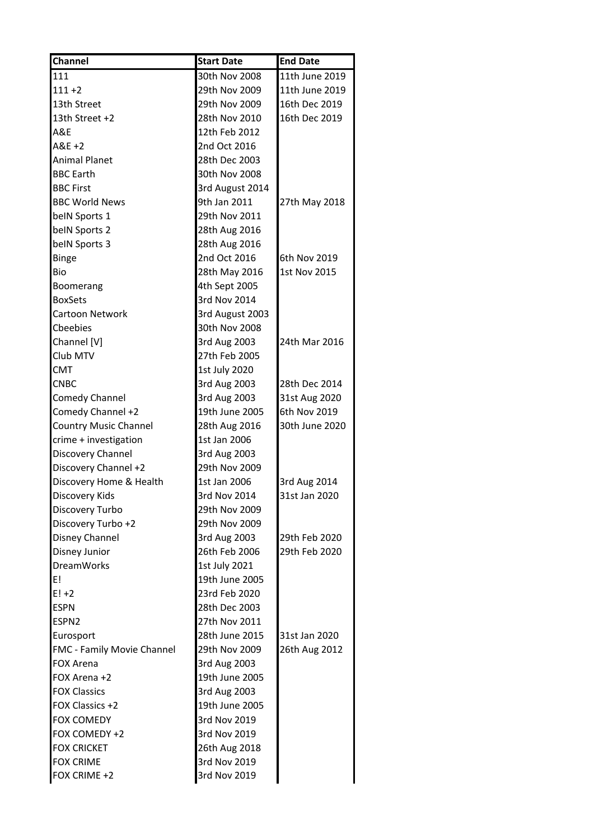| Channel                      | <b>Start Date</b> | <b>End Date</b> |
|------------------------------|-------------------|-----------------|
| 111                          | 30th Nov 2008     | 11th June 2019  |
| $111 + 2$                    | 29th Nov 2009     | 11th June 2019  |
| 13th Street                  | 29th Nov 2009     | 16th Dec 2019   |
| 13th Street +2               | 28th Nov 2010     | 16th Dec 2019   |
| A&E                          | 12th Feb 2012     |                 |
| $A&E+2$                      | 2nd Oct 2016      |                 |
| <b>Animal Planet</b>         | 28th Dec 2003     |                 |
| <b>BBC Earth</b>             | 30th Nov 2008     |                 |
| <b>BBC First</b>             | 3rd August 2014   |                 |
| <b>BBC World News</b>        | 9th Jan 2011      | 27th May 2018   |
| belN Sports 1                | 29th Nov 2011     |                 |
| belN Sports 2                | 28th Aug 2016     |                 |
| beIN Sports 3                | 28th Aug 2016     |                 |
| <b>Binge</b>                 | 2nd Oct 2016      | 6th Nov 2019    |
| Bio                          | 28th May 2016     | 1st Nov 2015    |
| Boomerang                    | 4th Sept 2005     |                 |
| <b>BoxSets</b>               | 3rd Nov 2014      |                 |
| Cartoon Network              | 3rd August 2003   |                 |
| Cbeebies                     | 30th Nov 2008     |                 |
| Channel [V]                  | 3rd Aug 2003      | 24th Mar 2016   |
| Club MTV                     | 27th Feb 2005     |                 |
| <b>CMT</b>                   | 1st July 2020     |                 |
| <b>CNBC</b>                  | 3rd Aug 2003      | 28th Dec 2014   |
| <b>Comedy Channel</b>        | 3rd Aug 2003      | 31st Aug 2020   |
| Comedy Channel +2            | 19th June 2005    | 6th Nov 2019    |
| <b>Country Music Channel</b> | 28th Aug 2016     | 30th June 2020  |
| crime + investigation        | 1st Jan 2006      |                 |
| Discovery Channel            | 3rd Aug 2003      |                 |
| Discovery Channel +2         | 29th Nov 2009     |                 |
| Discovery Home & Health      | 1st Jan 2006      | 3rd Aug 2014    |
| Discovery Kids               | 3rd Nov 2014      | 31st Jan 2020   |
| Discovery Turbo              | 29th Nov 2009     |                 |
| Discovery Turbo +2           | 29th Nov 2009     |                 |
| Disney Channel               | 3rd Aug 2003      | 29th Feb 2020   |
| Disney Junior                | 26th Feb 2006     | 29th Feb 2020   |
| <b>DreamWorks</b>            | 1st July 2021     |                 |
| E!                           | 19th June 2005    |                 |
| $E! + 2$                     | 23rd Feb 2020     |                 |
| <b>ESPN</b>                  | 28th Dec 2003     |                 |
| ESPN <sub>2</sub>            | 27th Nov 2011     |                 |
| Eurosport                    | 28th June 2015    | 31st Jan 2020   |
| FMC - Family Movie Channel   | 29th Nov 2009     | 26th Aug 2012   |
| <b>FOX Arena</b>             | 3rd Aug 2003      |                 |
| FOX Arena +2                 | 19th June 2005    |                 |
| <b>FOX Classics</b>          | 3rd Aug 2003      |                 |
| FOX Classics +2              | 19th June 2005    |                 |
| <b>FOX COMEDY</b>            | 3rd Nov 2019      |                 |
| FOX COMEDY +2                | 3rd Nov 2019      |                 |
| <b>FOX CRICKET</b>           | 26th Aug 2018     |                 |
| <b>FOX CRIME</b>             | 3rd Nov 2019      |                 |
| FOX CRIME +2                 | 3rd Nov 2019      |                 |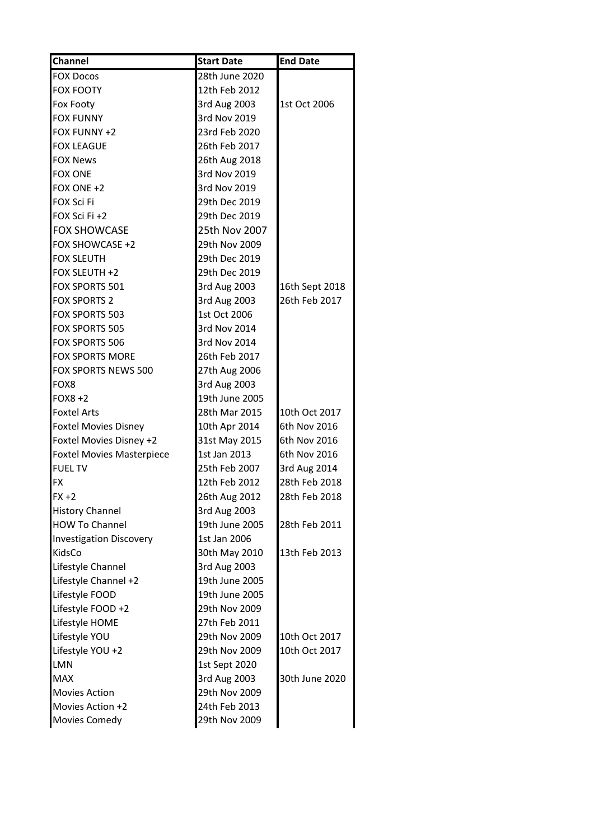| <b>Channel</b>                   | <b>Start Date</b> | <b>End Date</b> |
|----------------------------------|-------------------|-----------------|
| <b>FOX Docos</b>                 | 28th June 2020    |                 |
| <b>FOX FOOTY</b>                 | 12th Feb 2012     |                 |
| Fox Footy                        | 3rd Aug 2003      | 1st Oct 2006    |
| <b>FOX FUNNY</b>                 | 3rd Nov 2019      |                 |
| FOX FUNNY +2                     | 23rd Feb 2020     |                 |
| <b>FOX LEAGUE</b>                | 26th Feb 2017     |                 |
| <b>FOX News</b>                  | 26th Aug 2018     |                 |
| <b>FOX ONE</b>                   | 3rd Nov 2019      |                 |
| FOX ONE +2                       | 3rd Nov 2019      |                 |
| FOX Sci Fi                       | 29th Dec 2019     |                 |
| FOX Sci Fi +2                    | 29th Dec 2019     |                 |
| <b>FOX SHOWCASE</b>              | 25th Nov 2007     |                 |
| FOX SHOWCASE +2                  | 29th Nov 2009     |                 |
| <b>FOX SLEUTH</b>                | 29th Dec 2019     |                 |
| FOX SLEUTH +2                    | 29th Dec 2019     |                 |
| FOX SPORTS 501                   | 3rd Aug 2003      | 16th Sept 2018  |
| <b>FOX SPORTS 2</b>              | 3rd Aug 2003      | 26th Feb 2017   |
| FOX SPORTS 503                   | 1st Oct 2006      |                 |
| FOX SPORTS 505                   | 3rd Nov 2014      |                 |
| FOX SPORTS 506                   | 3rd Nov 2014      |                 |
| <b>FOX SPORTS MORE</b>           | 26th Feb 2017     |                 |
| FOX SPORTS NEWS 500              | 27th Aug 2006     |                 |
| FOX8                             | 3rd Aug 2003      |                 |
| $FOX8 + 2$                       | 19th June 2005    |                 |
| <b>Foxtel Arts</b>               | 28th Mar 2015     | 10th Oct 2017   |
| <b>Foxtel Movies Disney</b>      | 10th Apr 2014     | 6th Nov 2016    |
| Foxtel Movies Disney +2          | 31st May 2015     | 6th Nov 2016    |
| <b>Foxtel Movies Masterpiece</b> | 1st Jan 2013      | 6th Nov 2016    |
| <b>FUEL TV</b>                   | 25th Feb 2007     | 3rd Aug 2014    |
| FX                               | 12th Feb 2012     | 28th Feb 2018   |
| FX +2                            | 26th Aug 2012     | 28th Feb 2018   |
| <b>History Channel</b>           | 3rd Aug 2003      |                 |
| <b>HOW To Channel</b>            | 19th June 2005    | 28th Feb 2011   |
| <b>Investigation Discovery</b>   | 1st Jan 2006      |                 |
| KidsCo                           | 30th May 2010     | 13th Feb 2013   |
| Lifestyle Channel                | 3rd Aug 2003      |                 |
| Lifestyle Channel +2             | 19th June 2005    |                 |
| Lifestyle FOOD                   | 19th June 2005    |                 |
| Lifestyle FOOD +2                | 29th Nov 2009     |                 |
| Lifestyle HOME                   | 27th Feb 2011     |                 |
| Lifestyle YOU                    | 29th Nov 2009     | 10th Oct 2017   |
| Lifestyle YOU +2                 | 29th Nov 2009     | 10th Oct 2017   |
| <b>LMN</b>                       | 1st Sept 2020     |                 |
| <b>MAX</b>                       | 3rd Aug 2003      | 30th June 2020  |
| <b>Movies Action</b>             | 29th Nov 2009     |                 |
|                                  |                   |                 |
| Movies Action +2                 | 24th Feb 2013     |                 |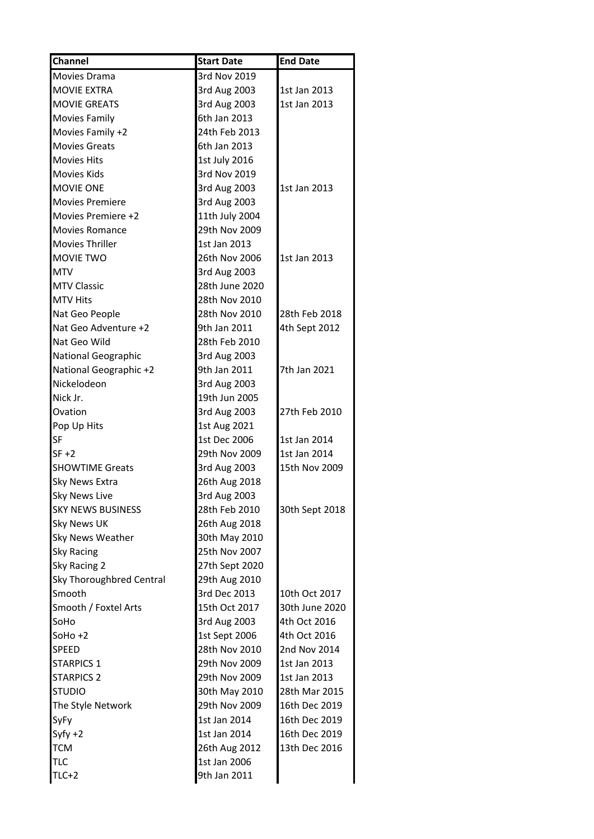| <b>Channel</b>             | <b>Start Date</b> | <b>End Date</b> |
|----------------------------|-------------------|-----------------|
| Movies Drama               | 3rd Nov 2019      |                 |
| <b>MOVIE EXTRA</b>         | 3rd Aug 2003      | 1st Jan 2013    |
| <b>MOVIE GREATS</b>        | 3rd Aug 2003      | 1st Jan 2013    |
| <b>Movies Family</b>       | 6th Jan 2013      |                 |
| Movies Family +2           | 24th Feb 2013     |                 |
| <b>Movies Greats</b>       | 6th Jan 2013      |                 |
| <b>Movies Hits</b>         | 1st July 2016     |                 |
| <b>Movies Kids</b>         | 3rd Nov 2019      |                 |
| MOVIE ONE                  | 3rd Aug 2003      | 1st Jan 2013    |
| <b>Movies Premiere</b>     | 3rd Aug 2003      |                 |
| Movies Premiere +2         | 11th July 2004    |                 |
| <b>Movies Romance</b>      | 29th Nov 2009     |                 |
| <b>Movies Thriller</b>     | 1st Jan 2013      |                 |
| MOVIE TWO                  | 26th Nov 2006     | 1st Jan 2013    |
| <b>MTV</b>                 | 3rd Aug 2003      |                 |
| <b>MTV Classic</b>         | 28th June 2020    |                 |
| <b>MTV Hits</b>            | 28th Nov 2010     |                 |
| Nat Geo People             | 28th Nov 2010     | 28th Feb 2018   |
| Nat Geo Adventure +2       | 9th Jan 2011      | 4th Sept 2012   |
| Nat Geo Wild               | 28th Feb 2010     |                 |
| <b>National Geographic</b> | 3rd Aug 2003      |                 |
| National Geographic +2     | 9th Jan 2011      | 7th Jan 2021    |
| Nickelodeon                | 3rd Aug 2003      |                 |
| Nick Jr.                   | 19th Jun 2005     |                 |
| Ovation                    | 3rd Aug 2003      | 27th Feb 2010   |
| Pop Up Hits                | 1st Aug 2021      |                 |
| SF                         | 1st Dec 2006      | 1st Jan 2014    |
| $SF + 2$                   | 29th Nov 2009     | 1st Jan 2014    |
| <b>SHOWTIME Greats</b>     | 3rd Aug 2003      | 15th Nov 2009   |
| <b>Sky News Extra</b>      | 26th Aug 2018     |                 |
| <b>Sky News Live</b>       | 3rd Aug 2003      |                 |
| <b>SKY NEWS BUSINESS</b>   | 28th Feb 2010     | 30th Sept 2018  |
| Sky News UK                | 26th Aug 2018     |                 |
| Sky News Weather           | 30th May 2010     |                 |
| <b>Sky Racing</b>          | 25th Nov 2007     |                 |
| Sky Racing 2               | 27th Sept 2020    |                 |
| Sky Thoroughbred Central   | 29th Aug 2010     |                 |
| Smooth                     | 3rd Dec 2013      | 10th Oct 2017   |
| Smooth / Foxtel Arts       | 15th Oct 2017     | 30th June 2020  |
| SoHo                       | 3rd Aug 2003      | 4th Oct 2016    |
| $Sotho +2$                 | 1st Sept 2006     | 4th Oct 2016    |
| SPEED                      | 28th Nov 2010     | 2nd Nov 2014    |
| <b>STARPICS 1</b>          | 29th Nov 2009     | 1st Jan 2013    |
| <b>STARPICS 2</b>          | 29th Nov 2009     | 1st Jan 2013    |
| <b>STUDIO</b>              | 30th May 2010     | 28th Mar 2015   |
| The Style Network          | 29th Nov 2009     | 16th Dec 2019   |
| SyFy                       | 1st Jan 2014      | 16th Dec 2019   |
| $Syfy + 2$                 | 1st Jan 2014      | 16th Dec 2019   |
| <b>TCM</b>                 | 26th Aug 2012     | 13th Dec 2016   |
| <b>TLC</b>                 | 1st Jan 2006      |                 |
| $TLC+2$                    | 9th Jan 2011      |                 |